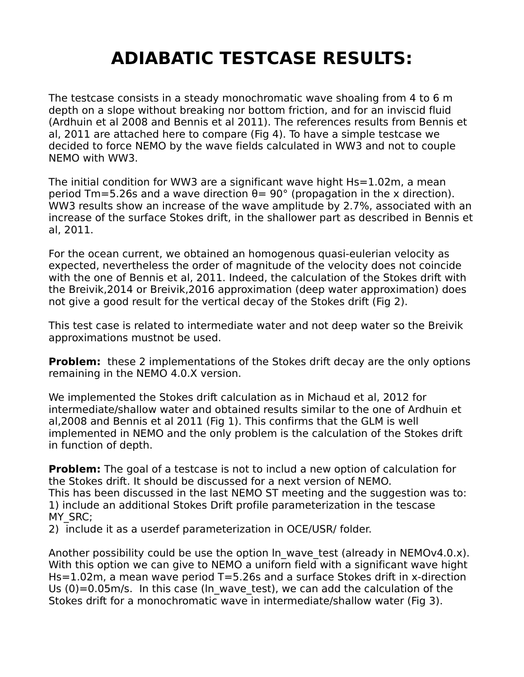## **ADIABATIC TESTCASE RESULTS:**

The testcase consists in a steady monochromatic wave shoaling from 4 to 6 m depth on a slope without breaking nor bottom friction, and for an inviscid fluid (Ardhuin et al 2008 and Bennis et al 2011). The references results from Bennis et al, 2011 are attached here to compare (Fig 4). To have a simple testcase we decided to force NEMO by the wave fields calculated in WW3 and not to couple NEMO with WW3.

The initial condition for WW3 are a significant wave hight Hs=1.02m, a mean period Tm=5.26s and a wave direction  $θ = 90°$  (propagation in the x direction). WW3 results show an increase of the wave amplitude by 2.7%, associated with an increase of the surface Stokes drift, in the shallower part as described in Bennis et al, 2011.

For the ocean current, we obtained an homogenous quasi-eulerian velocity as expected, nevertheless the order of magnitude of the velocity does not coincide with the one of Bennis et al, 2011. Indeed, the calculation of the Stokes drift with the Breivik,2014 or Breivik,2016 approximation (deep water approximation) does not give a good result for the vertical decay of the Stokes drift (Fig 2).

This test case is related to intermediate water and not deep water so the Breivik approximations mustnot be used.

**Problem:** these 2 implementations of the Stokes drift decay are the only options remaining in the NEMO 4.0.X version.

We implemented the Stokes drift calculation as in Michaud et al, 2012 for intermediate/shallow water and obtained results similar to the one of Ardhuin et al,2008 and Bennis et al 2011 (Fig 1). This confirms that the GLM is well implemented in NEMO and the only problem is the calculation of the Stokes drift in function of depth.

**Problem:** The goal of a testcase is not to includ a new option of calculation for the Stokes drift. It should be discussed for a next version of NEMO. This has been discussed in the last NEMO ST meeting and the suggestion was to: 1) include an additional Stokes Drift profile parameterization in the tescase MY\_SRC;

2) include it as a userdef parameterization in OCE/USR/ folder.

Another possibility could be use the option in wave test (already in NEMOv4.0.x). With this option we can give to NEMO a uniforn field with a significant wave hight Hs=1.02m, a mean wave period T=5.26s and a surface Stokes drift in x-direction Us  $(0)=0.05$ m/s. In this case (In wave test), we can add the calculation of the Stokes drift for a monochromatic wave in intermediate/shallow water (Fig 3).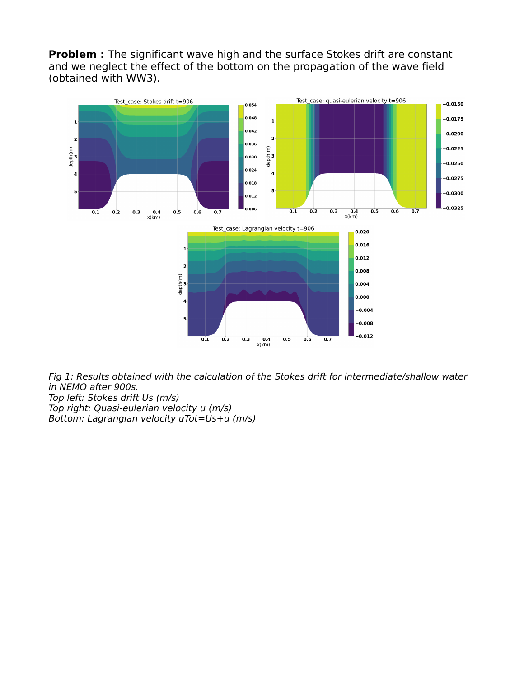**Problem :** The significant wave high and the surface Stokes drift are constant and we neglect the effect of the bottom on the propagation of the wave field (obtained with WW3).



Fig 1: Results obtained with the calculation of the Stokes drift for intermediate/shallow water in NEMO after 900s. Top left: Stokes drift Us (m/s) Top right: Quasi-eulerian velocity u (m/s) Bottom: Lagrangian velocity uTot=Us+u (m/s)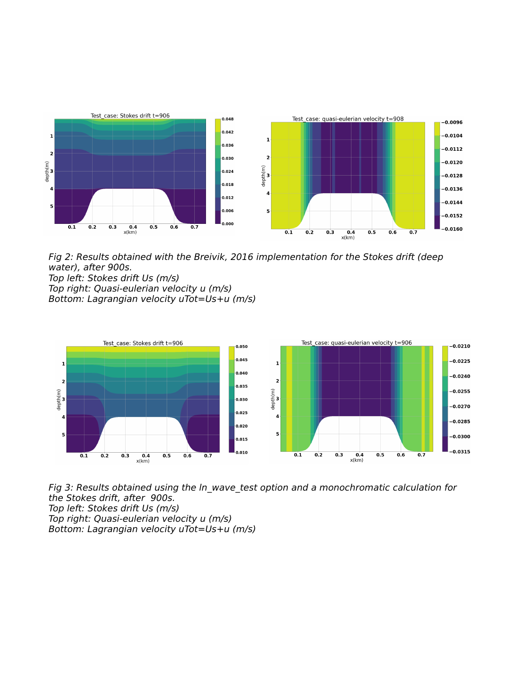

Fig 2: Results obtained with the Breivik, 2016 implementation for the Stokes drift (deep water), after 900s. Top left: Stokes drift Us (m/s)

Top right: Quasi-eulerian velocity u (m/s) Bottom: Lagrangian velocity uTot=Us+u (m/s)



Fig 3: Results obtained using the ln\_wave\_test option and a monochromatic calculation for the Stokes drift, after 900s. Top left: Stokes drift Us (m/s) Top right: Quasi-eulerian velocity u (m/s) Bottom: Lagrangian velocity uTot=Us+u (m/s)